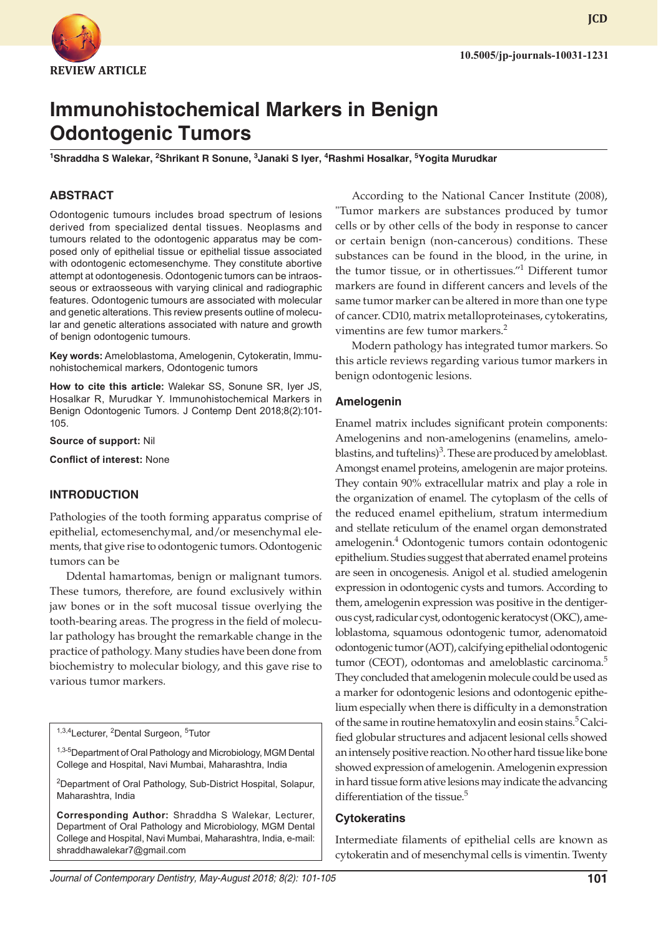

**JCD**

# **Immunohistochemical Markers in Benign Odontogenic Tumors**

<sup>1</sup>Shraddha S Walekar, <sup>2</sup>Shrikant R Sonune, <sup>3</sup>Janaki S Iyer, <sup>4</sup>Rashmi Hosalkar, <sup>5</sup>Yogita Murudkar

## **ABSTRACT**

Odontogenic tumours includes broad spectrum of lesions derived from specialized dental tissues. Neoplasms and tumours related to the odontogenic apparatus may be composed only of epithelial tissue or epithelial tissue associated with odontogenic ectomesenchyme. They constitute abortive attempt at odontogenesis. Odontogenic tumors can be intraosseous or extraosseous with varying clinical and radiographic features. Odontogenic tumours are associated with molecular and genetic alterations. This review presents outline of molecular and genetic alterations associated with nature and growth of benign odontogenic tumours.

**Key words:** Ameloblastoma, Amelogenin, Cytokeratin, Immunohistochemical markers, Odontogenic tumors

**How to cite this article:** Walekar SS, Sonune SR, Iyer JS, Hosalkar R, Murudkar Y. Immunohistochemical Markers in Benign Odontogenic Tumors. J Contemp Dent 2018;8(2):101- 105.

**Source of support:** Nil

**Conflict of interest:** None

#### **INTRODUCTION**

Pathologies of the tooth forming apparatus comprise of epithelial, ectomesenchymal, and/or mesenchymal elements, that give rise to odontogenic tumors. Odontogenic tumors can be

Ddental hamartomas, benign or malignant tumors. These tumors, therefore, are found exclusively within jaw bones or in the soft mucosal tissue overlying the tooth-bearing areas. The progress in the field of molecular pathology has brought the remarkable change in the practice of pathology. Many studies have been done from biochemistry to molecular biology, and this gave rise to various tumor markers.

<sup>1,3,4</sup>Lecturer, <sup>2</sup>Dental Surgeon, <sup>5</sup>Tutor

<sup>1,3-5</sup>Department of Oral Pathology and Microbiology, MGM Dental College and Hospital, Navi Mumbai, Maharashtra, India

<sup>2</sup>Department of Oral Pathology, Sub-District Hospital, Solapur, Maharashtra, India

**Corresponding Author:** Shraddha S Walekar, Lecturer, Department of Oral Pathology and Microbiology, MGM Dental College and Hospital, Navi Mumbai, Maharashtra, India, e-mail: shraddhawalekar7@gmail.com

According to the National Cancer Institute (2008), "Tumor markers are substances produced by tumor cells or by other cells of the body in response to cancer or certain benign (non-cancerous) conditions. These substances can be found in the blood, in the urine, in the tumor tissue, or in othertissues."1 Different tumor markers are found in different cancers and levels of the same tumor marker can be altered in more than one type of cancer. CD10, matrix metalloproteinases, cytokeratins, vimentins are few tumor markers.<sup>2</sup>

Modern pathology has integrated tumor markers. So this article reviews regarding various tumor markers in benign odontogenic lesions.

#### **Amelogenin**

Enamel matrix includes significant protein components: Amelogenins and non-amelogenins (enamelins, ameloblastins, and tuftelins) $3$ . These are produced by ameloblast. Amongst enamel proteins, amelogenin are major proteins. They contain 90% extracellular matrix and play a role in the organization of enamel. The cytoplasm of the cells of the reduced enamel epithelium, stratum intermedium and stellate reticulum of the enamel organ demonstrated amelogenin.<sup>4</sup> Odontogenic tumors contain odontogenic epithelium. Studies suggest that aberrated enamel proteins are seen in oncogenesis. Anigol et al. studied amelogenin expression in odontogenic cysts and tumors. According to them, amelogenin expression was positive in the dentigerous cyst,radicular cyst, odontogenic keratocyst (OKC), ameloblastoma, squamous odontogenic tumor, adenomatoid odontogenic tumor (AOT), calcifying epithelial odontogenic tumor (CEOT), odontomas and ameloblastic carcinoma.<sup>5</sup> They concluded that amelogenin molecule could be used as a marker for odontogenic lesions and odontogenic epithelium especially when there is difficulty in a demonstration of the same in routine hematoxylin and eosin stains.<sup>5</sup> Calcified globular structures and adjacent lesional cells showed an intensely positive reaction. No other hard tissue like bone showed expression of amelogenin. Amelogenin expression in hard tissue formative lesions may indicate the advancing differentiation of the tissue.<sup>5</sup>

#### **Cytokeratins**

Intermediate filaments of epithelial cells are known as cytokeratin and of mesenchymal cells is vimentin. Twenty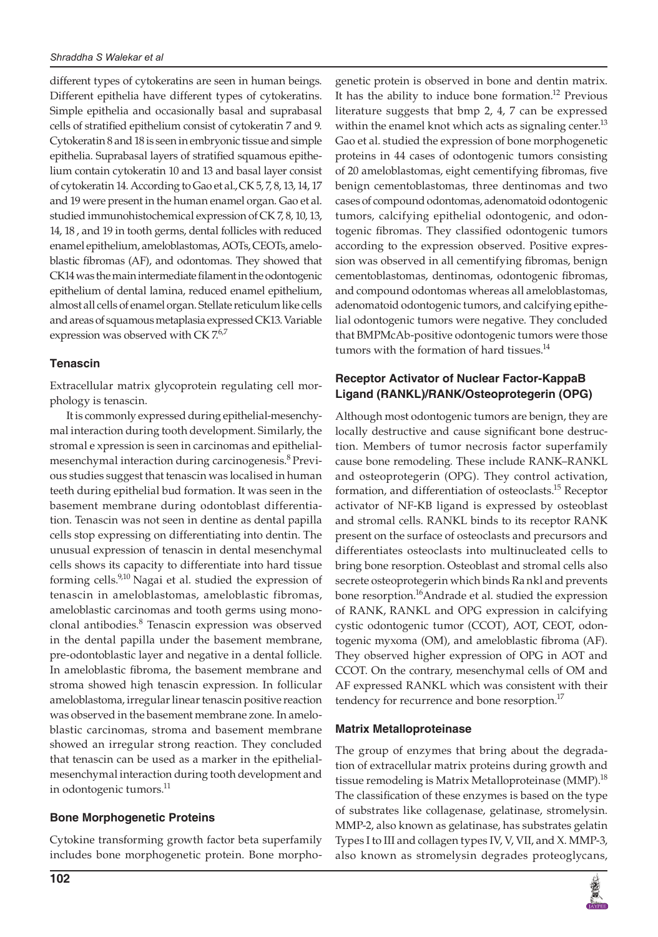different types of cytokeratins are seen in human beings. Different epithelia have different types of cytokeratins. Simple epithelia and occasionally basal and suprabasal cells of stratified epithelium consist of cytokeratin 7 and 9. Cytokeratin 8 and 18 is seen in embryonic tissue and simple epithelia. Suprabasal layers of stratified squamous epithelium contain cytokeratin 10 and 13 and basal layer consist of cytokeratin 14. According to Gao et al.,CK 5, 7, 8, 13, 14, 17 and 19 were present in the human enamel organ. Gao et al. studied immunohistochemical expression of CK 7, 8, 10, 13, 14, 18 , and 19 in tooth germs, dental follicles with reduced enamel epithelium, ameloblastomas, AOTs, CEOTs, ameloblastic fibromas (AF), and odontomas. They showed that CK14 was the main intermediate filament in the odontogenic epithelium of dental lamina, reduced enamel epithelium, almost all cells of enamel organ. Stellate reticulum like cells and areas of squamous metaplasia expressed CK13. Variable expression was observed with CK  $7.67$ 

## **Tenascin**

Extracellular matrix glycoprotein regulating cell morphology is tenascin.

It is commonly expressed during epithelial-mesenchymal interaction during tooth development. Similarly, the stromal e xpression is seen in carcinomas and epithelialmesenchymal interaction during carcinogenesis.<sup>8</sup> Previous studies suggest that tenascin was localised in human teeth during epithelial bud formation. It was seen in the basement membrane during odontoblast differentiation. Tenascin was not seen in dentine as dental papilla cells stop expressing on differentiating into dentin. The unusual expression of tenascin in dental mesenchymal cells shows its capacity to differentiate into hard tissue forming cells.<sup>9,10</sup> Nagai et al. studied the expression of tenascin in ameloblastomas, ameloblastic fibromas, ameloblastic carcinomas and tooth germs using monoclonal antibodies.<sup>8</sup> Tenascin expression was observed in the dental papilla under the basement membrane, pre-odontoblastic layer and negative in a dental follicle. In ameloblastic fibroma, the basement membrane and stroma showed high tenascin expression. In follicular ameloblastoma, irregular linear tenascin positive reaction was observed in the basement membrane zone. In ameloblastic carcinomas, stroma and basement membrane showed an irregular strong reaction. They concluded that tenascin can be used as a marker in the epithelialmesenchymal interaction during tooth development and in odontogenic tumors.<sup>11</sup>

#### **Bone Morphogenetic Proteins**

Cytokine transforming growth factor beta superfamily includes bone morphogenetic protein. Bone morphogenetic protein is observed in bone and dentin matrix. It has the ability to induce bone formation.<sup>12</sup> Previous literature suggests that bmp 2, 4, 7 can be expressed within the enamel knot which acts as signaling center.<sup>13</sup> Gao et al. studied the expression of bone morphogenetic proteins in 44 cases of odontogenic tumors consisting of 20 ameloblastomas, eight cementifying fibromas, five benign cementoblastomas, three dentinomas and two cases of compound odontomas, adenomatoid odontogenic tumors, calcifying epithelial odontogenic, and odontogenic fibromas. They classified odontogenic tumors according to the expression observed. Positive expression was observed in all cementifying fibromas, benign cementoblastomas, dentinomas, odontogenic fibromas, and compound odontomas whereas all ameloblastomas, adenomatoid odontogenic tumors, and calcifying epithelial odontogenic tumors were negative. They concluded that BMPMcAb-positive odontogenic tumors were those tumors with the formation of hard tissues.<sup>14</sup>

# **Receptor Activator of Nuclear Factor-KappaB Ligand (RANKL)/RANK/Osteoprotegerin (OPG)**

Although most odontogenic tumors are benign, they are locally destructive and cause significant bone destruction. Members of tumor necrosis factor superfamily cause bone remodeling. These include RANK–RANKL and osteoprotegerin (OPG). They control activation, formation, and differentiation of osteoclasts.<sup>15</sup> Receptor activator of NF-KB ligand is expressed by osteoblast and stromal cells. RANKL binds to its receptor RANK present on the surface of osteoclasts and precursors and differentiates osteoclasts into multinucleated cells to bring bone resorption. Osteoblast and stromal cells also secrete osteoprotegerin which binds Ra nkl and prevents bone resorption.<sup>16</sup>Andrade et al. studied the expression of RANK, RANKL and OPG expression in calcifying cystic odontogenic tumor (CCOT), AOT, CEOT, odontogenic myxoma (OM), and ameloblastic fibroma (AF). They observed higher expression of OPG in AOT and CCOT. On the contrary, mesenchymal cells of OM and AF expressed RANKL which was consistent with their tendency for recurrence and bone resorption.<sup>17</sup>

## **Matrix Metalloproteinase**

The group of enzymes that bring about the degradation of extracellular matrix proteins during growth and tissue remodeling is Matrix Metalloproteinase (MMP).<sup>18</sup> The classification of these enzymes is based on the type of substrates like collagenase, gelatinase, stromelysin. MMP-2, also known as gelatinase, has substrates gelatin Types I to III and collagen types IV, V, VII, and X. MMP-3, also known as stromelysin degrades proteoglycans,

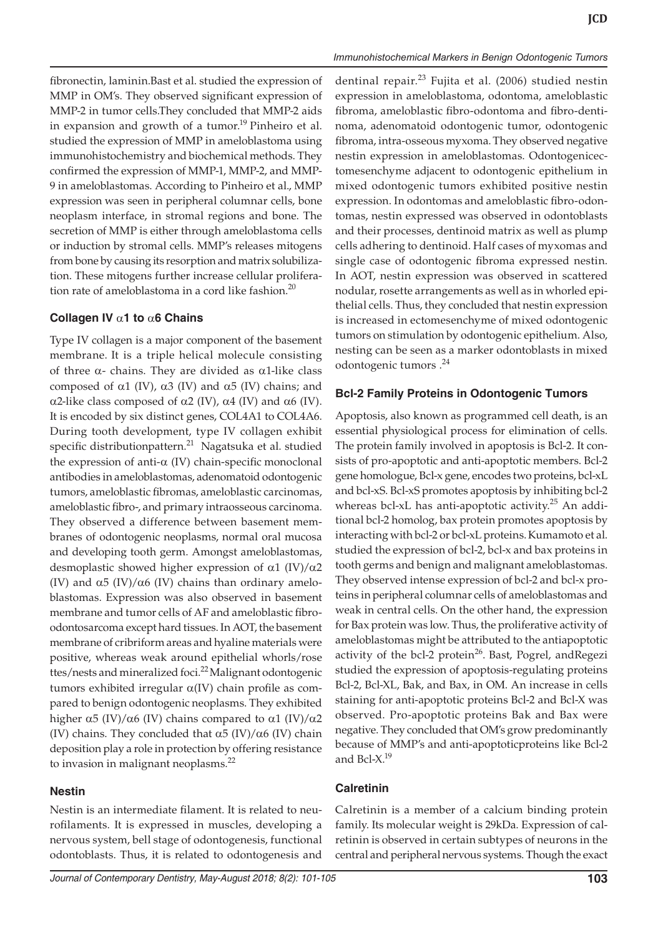fibronectin, laminin.Bast et al. studied the expression of MMP in OM's. They observed significant expression of MMP-2 in tumor cells.They concluded that MMP-2 aids in expansion and growth of a tumor.<sup>19</sup> Pinheiro et al. studied the expression of MMP in ameloblastoma using immunohistochemistry and biochemical methods. They confirmed the expression of MMP-1, MMP-2, and MMP-9 in ameloblastomas. According to Pinheiro et al., MMP expression was seen in peripheral columnar cells, bone neoplasm interface, in stromal regions and bone. The secretion of MMP is either through ameloblastoma cells or induction by stromal cells. MMP's releases mitogens from bone by causing its resorption and matrix solubilization. These mitogens further increase cellular proliferation rate of ameloblastoma in a cord like fashion.<sup>20</sup>

#### **Collagen IV** a**1 to** a**6 Chains**

Type IV collagen is a major component of the basement membrane. It is a triple helical molecule consisting of three  $\alpha$ - chains. They are divided as  $\alpha$ 1-like class composed of  $\alpha$ 1 (IV),  $\alpha$ 3 (IV) and  $\alpha$ 5 (IV) chains; and  $\alpha$ 2-like class composed of  $\alpha$ 2 (IV),  $\alpha$ 4 (IV) and  $\alpha$ 6 (IV). It is encoded by six distinct genes, COL4A1 to COL4A6. During tooth development, type IV collagen exhibit specific distributionpattern.<sup>21</sup> Nagatsuka et al. studied the expression of anti- $\alpha$  (IV) chain-specific monoclonal antibodies in ameloblastomas, adenomatoid odontogenic tumors, ameloblastic fibromas, ameloblastic carcinomas, ameloblastic fibro-, and primary intraosseous carcinoma. They observed a difference between basement membranes of odontogenic neoplasms, normal oral mucosa and developing tooth germ. Amongst ameloblastomas, desmoplastic showed higher expression of  $\alpha$ 1 (IV)/ $\alpha$ 2 (IV) and  $\alpha$ 5 (IV)/ $\alpha$ 6 (IV) chains than ordinary ameloblastomas. Expression was also observed in basement membrane and tumor cells of AF and ameloblastic fibroodontosarcoma except hard tissues. In AOT, the basement membrane of cribriform areas and hyaline materials were positive, whereas weak around epithelial whorls/rose ttes/nests and mineralized foci.<sup>22</sup> Malignant odontogenic tumors exhibited irregular a(IV) chain profile as compared to benign odontogenic neoplasms. They exhibited higher  $\alpha$ 5 (IV)/ $\alpha$ 6 (IV) chains compared to  $\alpha$ 1 (IV)/ $\alpha$ 2 (IV) chains. They concluded that  $\alpha$ 5 (IV)/ $\alpha$ 6 (IV) chain deposition play a role in protection by offering resistance to invasion in malignant neoplasms. $^{22}$ 

## **Nestin**

Nestin is an intermediate filament. It is related to neurofilaments. It is expressed in muscles, developing a nervous system, bell stage of odontogenesis, functional odontoblasts. Thus, it is related to odontogenesis and dentinal repair.<sup>23</sup> Fujita et al. (2006) studied nestin expression in ameloblastoma, odontoma, ameloblastic fibroma, ameloblastic fibro-odontoma and fibro-dentinoma, adenomatoid odontogenic tumor, odontogenic fibroma, intra-osseous myxoma.They observed negative nestin expression in ameloblastomas. Odontogenicectomesenchyme adjacent to odontogenic epithelium in mixed odontogenic tumors exhibited positive nestin expression. In odontomas and ameloblastic fibro-odontomas, nestin expressed was observed in odontoblasts and their processes, dentinoid matrix as well as plump cells adhering to dentinoid. Half cases of myxomas and single case of odontogenic fibroma expressed nestin. In AOT, nestin expression was observed in scattered nodular, rosette arrangements as well as in whorled epithelial cells. Thus, they concluded that nestin expression is increased in ectomesenchyme of mixed odontogenic tumors on stimulation by odontogenic epithelium. Also, nesting can be seen as a marker odontoblasts in mixed odontogenic tumors .<sup>24</sup>

*Immunohistochemical Markers in Benign Odontogenic Tumors*

## **Bcl-2 Family Proteins in Odontogenic Tumors**

Apoptosis, also known as programmed cell death, is an essential physiological process for elimination of cells. The protein family involved in apoptosis is Bcl-2. It consists of pro-apoptotic and anti-apoptotic members. Bcl-2 gene homologue, Bcl-x gene, encodes two proteins, bcl-xL and bcl-xS. Bcl-xS promotes apoptosis by inhibiting bcl-2 whereas bcl-xL has anti-apoptotic activity.<sup>25</sup> An additional bcl-2 homolog, bax protein promotes apoptosis by interacting with bcl-2 or bcl-xL proteins. Kumamoto et al. studied the expression of bcl-2, bcl-x and bax proteins in tooth germs and benign and malignant ameloblastomas. They observed intense expression of bcl-2 and bcl-x proteins in peripheral columnar cells of ameloblastomas and weak in central cells. On the other hand, the expression for Bax protein was low. Thus, the proliferative activity of ameloblastomas might be attributed to the antiapoptotic activity of the bcl-2 protein<sup>26</sup>. Bast, Pogrel, and Regezi studied the expression of apoptosis-regulating proteins Bcl-2, Bcl-XL, Bak, and Bax, in OM. An increase in cells staining for anti-apoptotic proteins Bcl-2 and Bcl-X was observed. Pro-apoptotic proteins Bak and Bax were negative. They concluded that OM's grow predominantly because of MMP's and anti-apoptoticproteins like Bcl-2 and Bcl- $X$ <sup>19</sup>

## **Calretinin**

Calretinin is a member of a calcium binding protein family. Its molecular weight is 29kDa. Expression of calretinin is observed in certain subtypes of neurons in the central and peripheral nervous systems. Though the exact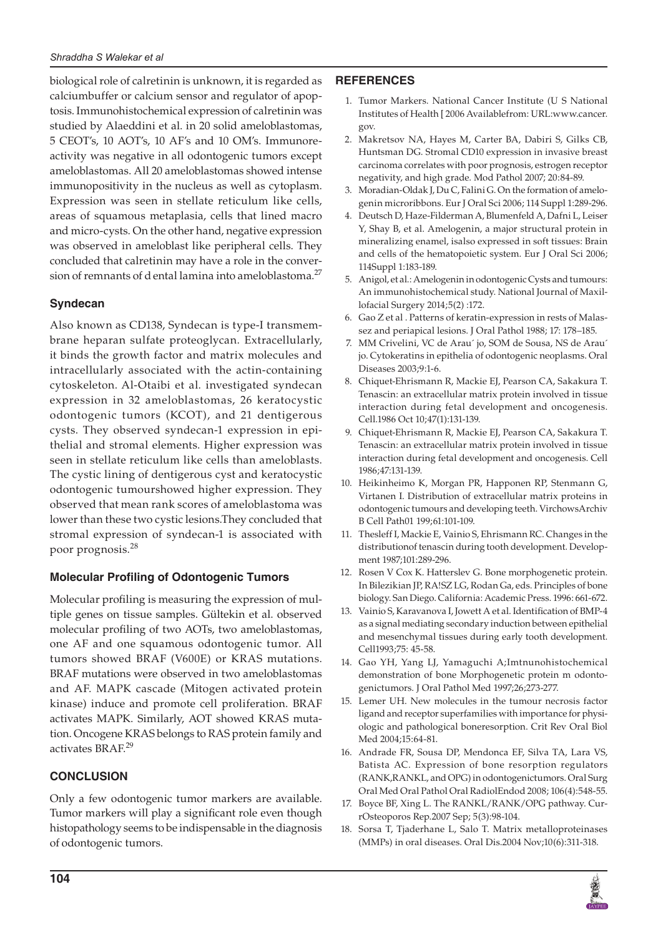biological role of calretinin is unknown, it is regarded as calciumbuffer or calcium sensor and regulator of apoptosis. Immunohistochemical expression of calretinin was studied by Alaeddini et al. in 20 solid ameloblastomas, 5 CEOT's, 10 AOT's, 10 AF's and 10 OM's. Immunoreactivity was negative in all odontogenic tumors except ameloblastomas. All 20 ameloblastomas showed intense immunopositivity in the nucleus as well as cytoplasm. Expression was seen in stellate reticulum like cells, areas of squamous metaplasia, cells that lined macro and micro-cysts. On the other hand, negative expression was observed in ameloblast like peripheral cells. They concluded that calretinin may have a role in the conversion of remnants of d ental lamina into ameloblastoma.<sup>27</sup>

# **Syndecan**

Also known as CD138, Syndecan is type-I transmembrane heparan sulfate proteoglycan. Extracellularly, it binds the growth factor and matrix molecules and intracellularly associated with the actin-containing cytoskeleton. Al-Otaibi et al. investigated syndecan expression in 32 ameloblastomas, 26 keratocystic odontogenic tumors (KCOT), and 21 dentigerous cysts. They observed syndecan-1 expression in epithelial and stromal elements. Higher expression was seen in stellate reticulum like cells than ameloblasts. The cystic lining of dentigerous cyst and keratocystic odontogenic tumourshowed higher expression. They observed that mean rank scores of ameloblastoma was lower than these two cystic lesions.They concluded that stromal expression of syndecan-1 is associated with poor prognosis.<sup>28</sup>

## **Molecular Profiling of Odontogenic Tumors**

Molecular profiling is measuring the expression of multiple genes on tissue samples. Gültekin et al. observed molecular profiling of two AOTs, two ameloblastomas, one AF and one squamous odontogenic tumor. All tumors showed BRAF (V600E) or KRAS mutations. BRAF mutations were observed in two ameloblastomas and AF. MAPK cascade (Mitogen activated protein kinase) induce and promote cell proliferation. BRAF activates MAPK. Similarly, AOT showed KRAS mutation. Oncogene KRAS belongs to RAS protein family and activates BRAF.<sup>29</sup>

## **CONCLUSION**

Only a few odontogenic tumor markers are available. Tumor markers will play a significant role even though histopathology seems to be indispensable in the diagnosis of odontogenic tumors.

## **REFERENCES**

- 1. Tumor Markers. National Cancer Institute (U S National Institutes of Health [ 2006 Availablefrom: URL:www.cancer. gov.
- 2. Makretsov NA, Hayes M, Carter BA, Dabiri S, Gilks CB, Huntsman DG. Stromal CD10 expression in invasive breast carcinoma correlates with poor prognosis, estrogen receptor negativity, and high grade. Mod Pathol 2007; 20:84-89.
- Moradian-Oldak J, Du C, Falini G. On the formation of amelogenin microribbons. Eur J Oral Sci 2006; 114 Suppl 1:289-296.
- 4. Deutsch D, Haze-Filderman A, Blumenfeld A, Dafni L, Leiser Y, Shay B, et al. Amelogenin, a major structural protein in mineralizing enamel, isalso expressed in soft tissues: Brain and cells of the hematopoietic system. Eur J Oral Sci 2006; 114Suppl 1:183-189.
- 5. Anigol, et al.: Amelogenin in odontogenic Cysts and tumours: An immunohistochemical study. National Journal of Maxillofacial Surgery 2014;5(2) :172.
- 6. Gao Z et al . Patterns of keratin-expression in rests of Malassez and periapical lesions. J Oral Pathol 1988; 17: 178–185.
- 7. MM Crivelini, VC de Arau´ jo, SOM de Sousa, NS de Arau´ jo. Cytokeratins in epithelia of odontogenic neoplasms. Oral Diseases 2003;9:1-6.
- 8. Chiquet-Ehrismann R, Mackie EJ, Pearson CA, Sakakura T. Tenascin: an extracellular matrix protein involved in tissue interaction during fetal development and oncogenesis. Cell.1986 Oct 10;47(1):131-139.
- 9. Chiquet-Ehrismann R, Mackie EJ, Pearson CA, Sakakura T. Tenascin: an extracellular matrix protein involved in tissue interaction during fetal development and oncogenesis. Cell 1986;47:131-139.
- 10. Heikinheimo K, Morgan PR, Happonen RP, Stenmann G, Virtanen I. Distribution of extracellular matrix proteins in odontogenic tumours and developing teeth. VirchowsArchiv B Cell Path01 199;61:101-109.
- 11. Thesleff I, Mackie E, Vainio S, Ehrismann RC. Changes in the distributionof tenascin during tooth development. Development 1987;101:289-296.
- 12. Rosen V Cox K. Hatterslev G. Bone morphogenetic protein. In Bilezikian JP, RA!SZ LG, Rodan Ga, eds. Principles of bone biology. San Diego. California: Academic Press. 1996: 661-672.
- 13. Vainio S, Karavanova I, Jowett A et al. Identification of BMP-4 as a signal mediating secondary induction between epithelial and mesenchymal tissues during early tooth development. Cell1993;75: 45-58.
- 14. Gao YH, Yang LJ, Yamaguchi A;Imtnunohistochemical demonstration of bone Morphogenetic protein m odontogenictumors. J Oral Pathol Med 1997;26;273-277.
- 15. Lemer UH. New molecules in the tumour necrosis factor ligand and receptor superfamilies with importance for physiologic and pathological boneresorption. Crit Rev Oral Biol Med 2004;15:64-81.
- 16. Andrade FR, Sousa DP, Mendonca EF, Silva TA, Lara VS, Batista AC. Expression of bone resorption regulators (RANK,RANKL, and OPG) in odontogenictumors. Oral Surg Oral Med Oral Pathol Oral RadiolEndod 2008; 106(4):548-55.
- 17. Boyce BF, Xing L. The RANKL/RANK/OPG pathway. CurrOsteoporos Rep.2007 Sep; 5(3):98-104.
- 18. Sorsa T, Tjaderhane L, Salo T. Matrix metalloproteinases (MMPs) in oral diseases. Oral Dis.2004 Nov;10(6):311-318.